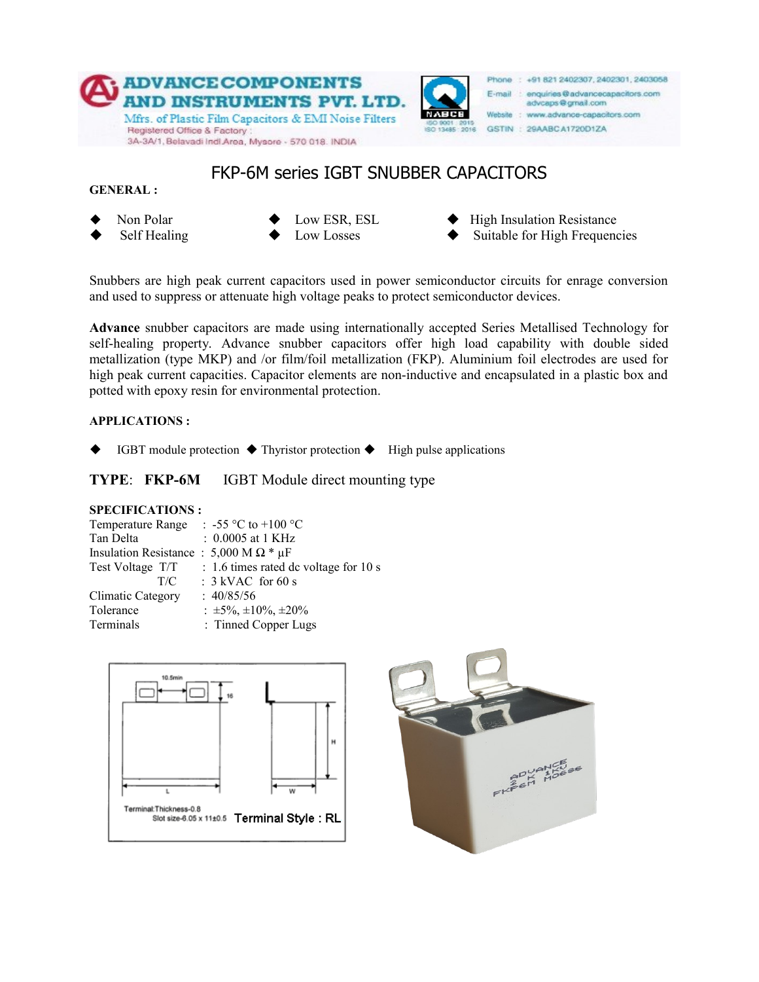

## FKP-6M series IGBT SNUBBER CAPACITORS

**GENERAL :**

- 
- 
- Non Polar  $\bullet$  Low ESR, ESL  $\bullet$  High Insulation Resistance
- $\leftarrow$  Low Losses  $\leftarrow$  Suitable for High Frequencies

Snubbers are high peak current capacitors used in power semiconductor circuits for enrage conversion and used to suppress or attenuate high voltage peaks to protect semiconductor devices.

**Advance** snubber capacitors are made using internationally accepted Series Metallised Technology for self-healing property. Advance snubber capacitors offer high load capability with double sided metallization (type MKP) and /or film/foil metallization (FKP). Aluminium foil electrodes are used for high peak current capacities. Capacitor elements are non-inductive and encapsulated in a plastic box and potted with epoxy resin for environmental protection.

### **APPLICATIONS :**

IGBT module protection  $\blacklozenge$  Thyristor protection  $\blacklozenge$  High pulse applications

**TYPE**: **FKP-6M** IGBT Module direct mounting type

### **SPECIFICATIONS :**

| Temperature Range                                 | : -55 °C to +100 °C                   |
|---------------------------------------------------|---------------------------------------|
| Tan Delta                                         | $: 0.0005$ at 1 KHz                   |
| Insulation Resistance: 5,000 M $\Omega$ * $\mu$ F |                                       |
| Test Voltage T/T                                  | : 1.6 times rated dc voltage for 10 s |
| T/C                                               | $: 3$ kVAC for 60 s                   |
| <b>Climatic Category</b>                          | : 40/85/56                            |
| Tolerance                                         | : $\pm 5\%$ , $\pm 10\%$ , $\pm 20\%$ |
| Terminals                                         | : Tinned Copper Lugs                  |



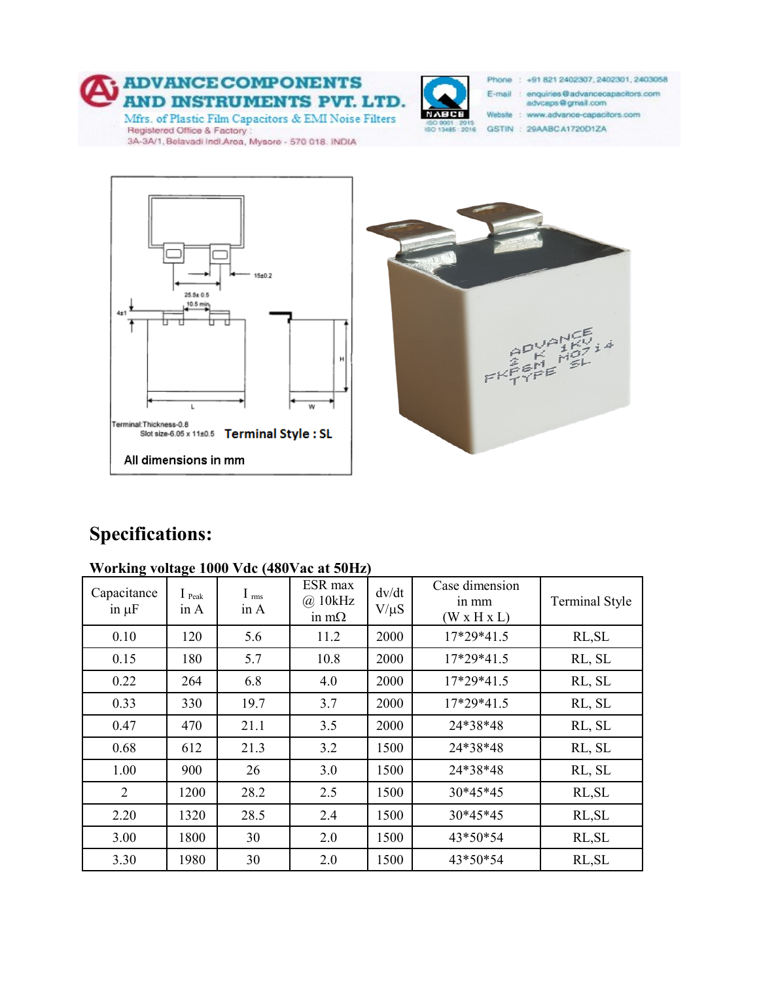



Phone: +91 821 2402307, 2402301, 2403058

E-mail : enquiries@advancecapacitors.com advcaps@gmail.com

Website : www.advance-capacitors.com

GSTIN: 29AABCA1720D1ZA





# **Specifications:**

### **Working voltage 1000 Vdc (480Vac at 50Hz)**

| Capacitance<br>in $\mu$ F | $I_{\text{Peak}}$<br>in A | I <sub>rms</sub><br>in A | ESR max<br>$(a)$ 10 $kHz$<br>in m $\Omega$ | dv/dt<br>$V/\mu S$ | Case dimension<br>in mm<br>$(W \times H \times L)$ | <b>Terminal Style</b> |
|---------------------------|---------------------------|--------------------------|--------------------------------------------|--------------------|----------------------------------------------------|-----------------------|
| 0.10                      | 120                       | 5.6                      | 11.2                                       | 2000               | 17*29*41.5                                         | RL, SL                |
| 0.15                      | 180                       | 5.7                      | 10.8                                       | 2000               | 17*29*41.5                                         | RL, SL                |
| 0.22                      | 264                       | 6.8                      | 4.0                                        | 2000               | 17*29*41.5                                         | RL, SL                |
| 0.33                      | 330                       | 19.7                     | 3.7                                        | 2000               | 17*29*41.5                                         | RL, SL                |
| 0.47                      | 470                       | 21.1                     | 3.5                                        | 2000               | 24*38*48                                           | RL, SL                |
| 0.68                      | 612                       | 21.3                     | 3.2                                        | 1500               | 24*38*48                                           | RL, SL                |
| 1.00                      | 900                       | 26                       | 3.0                                        | 1500               | 24*38*48                                           | RL, SL                |
| 2                         | 1200                      | 28.2                     | 2.5                                        | 1500               | 30*45*45                                           | RL, SL                |
| 2.20                      | 1320                      | 28.5                     | 2.4                                        | 1500               | 30*45*45                                           | RL, SL                |
| 3.00                      | 1800                      | 30                       | 2.0                                        | 1500               | 43*50*54                                           | RL, SL                |
| 3.30                      | 1980                      | 30                       | 2.0                                        | 1500               | 43*50*54                                           | RL, SL                |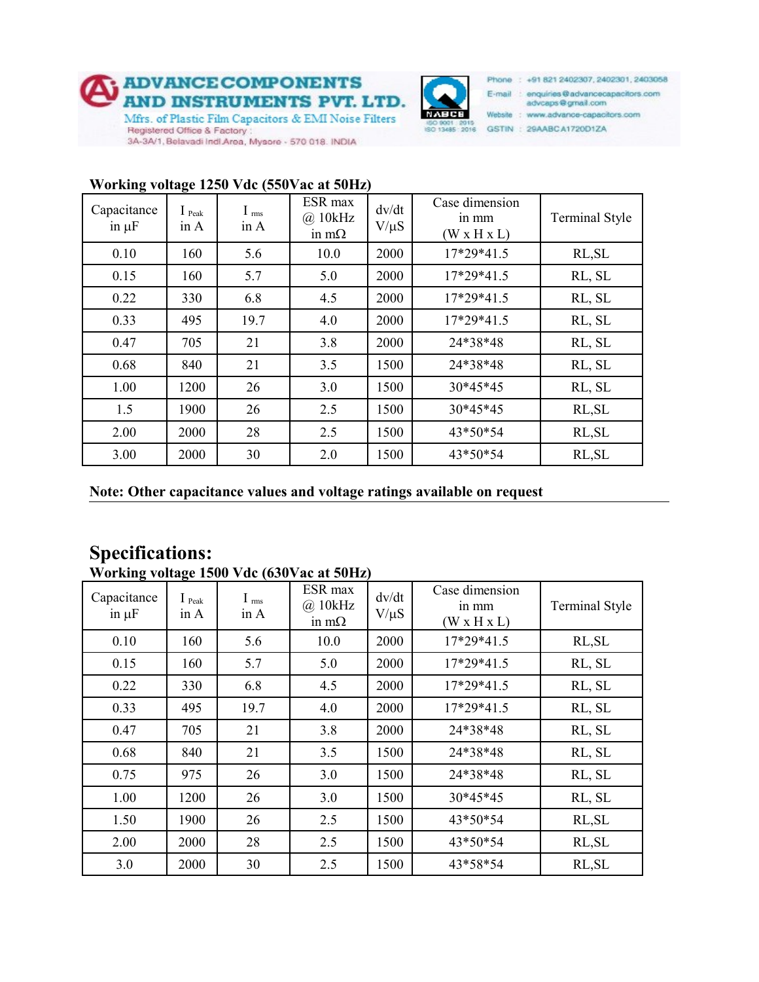



Phone: +91 821 2402307, 2402301, 2403058 E-mail : enquiries@advancecapacitors.com

advcaps@gmail.com Website : www.advance-capacitors.com

GSTIN: 29AABCA1720D1ZA

| <u>WULKING VUHAGU 1430 VUU (330 VAU AL 3011Z)</u> |                                    |                          |                                         |                    |                                                    |                |
|---------------------------------------------------|------------------------------------|--------------------------|-----------------------------------------|--------------------|----------------------------------------------------|----------------|
| Capacitance<br>in $\mu$ F                         | $\mathbf{1}_{\text{Peak}}$<br>in A | I <sub>rms</sub><br>in A | ESR max<br>$(a)$ 10kHz<br>in m $\Omega$ | dv/dt<br>$V/\mu S$ | Case dimension<br>in mm<br>$(W \times H \times L)$ | Terminal Style |
| 0.10                                              | 160                                | 5.6                      | 10.0                                    | 2000               | 17*29*41.5                                         | RL, SL         |
| 0.15                                              | 160                                | 5.7                      | 5.0                                     | 2000               | 17*29*41.5                                         | RL, SL         |
| 0.22                                              | 330                                | 6.8                      | 4.5                                     | 2000               | 17*29*41.5                                         | RL, SL         |
| 0.33                                              | 495                                | 19.7                     | 4.0                                     | 2000               | 17*29*41.5                                         | RL, SL         |
| 0.47                                              | 705                                | 21                       | 3.8                                     | 2000               | 24*38*48                                           | RL, SL         |
| 0.68                                              | 840                                | 21                       | 3.5                                     | 1500               | 24*38*48                                           | RL, SL         |
| 1.00                                              | 1200                               | 26                       | 3.0                                     | 1500               | 30*45*45                                           | RL, SL         |
| 1.5                                               | 1900                               | 26                       | 2.5                                     | 1500               | 30*45*45                                           | RL, SL         |
| 2.00                                              | 2000                               | 28                       | 2.5                                     | 1500               | 43*50*54                                           | RL, SL         |
| 3.00                                              | 2000                               | 30                       | 2.0                                     | 1500               | 43*50*54                                           | RL, SL         |

### **Working voltage 1250 Vdc (550Vac at 50Hz)**

**Note: Other capacitance values and voltage ratings available on request**

# **Specifications:**

| $\overline{v}$ of King voltage 1500 v ue (050 v ac at 5011z) |                                    |                          |                                            |                    |                                                    |                       |
|--------------------------------------------------------------|------------------------------------|--------------------------|--------------------------------------------|--------------------|----------------------------------------------------|-----------------------|
| Capacitance<br>in $\mu$ F                                    | $\mathbf{1}_{\text{Peak}}$<br>in A | I <sub>rms</sub><br>in A | ESR max<br>$\omega$ 10kHz<br>in m $\Omega$ | dv/dt<br>$V/\mu S$ | Case dimension<br>in mm<br>$(W \times H \times L)$ | <b>Terminal Style</b> |
| 0.10                                                         | 160                                | 5.6                      | 10.0                                       | 2000               | 17*29*41.5                                         | RL, SL                |
| 0.15                                                         | 160                                | 5.7                      | 5.0                                        | 2000               | 17*29*41.5                                         | RL, SL                |
| 0.22                                                         | 330                                | 6.8                      | 4.5                                        | 2000               | 17*29*41.5                                         | RL, SL                |
| 0.33                                                         | 495                                | 19.7                     | 4.0                                        | 2000               | 17*29*41.5                                         | RL, SL                |
| 0.47                                                         | 705                                | 21                       | 3.8                                        | 2000               | 24*38*48                                           | RL, SL                |
| 0.68                                                         | 840                                | 21                       | 3.5                                        | 1500               | 24*38*48                                           | RL, SL                |
| 0.75                                                         | 975                                | 26                       | 3.0                                        | 1500               | 24*38*48                                           | RL, SL                |
| 1.00                                                         | 1200                               | 26                       | 3.0                                        | 1500               | 30*45*45                                           | RL, SL                |
| 1.50                                                         | 1900                               | 26                       | 2.5                                        | 1500               | 43*50*54                                           | RL, SL                |
| 2.00                                                         | 2000                               | 28                       | 2.5                                        | 1500               | 43*50*54                                           | RL, SL                |
| 3.0                                                          | 2000                               | 30                       | 2.5                                        | 1500               | 43*58*54                                           | RL, SL                |

**Working voltage 1500 Vdc (630Vac at 50Hz)**